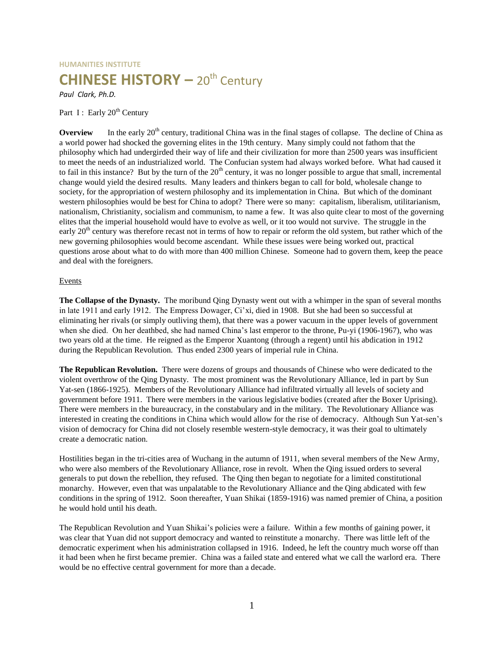# **HUMANITIES INSTITUTE CHINESE HISTORY** - 20<sup>th</sup> Century

*Paul Clark, Ph.D.*

Part I : Early 20<sup>th</sup> Century

**Overview** In the early 20<sup>th</sup> century, traditional China was in the final stages of collapse. The decline of China as a world power had shocked the governing elites in the 19th century. Many simply could not fathom that the philosophy which had undergirded their way of life and their civilization for more than 2500 years was insufficient to meet the needs of an industrialized world. The Confucian system had always worked before. What had caused it to fail in this instance? But by the turn of the  $20<sup>th</sup>$  century, it was no longer possible to argue that small, incremental change would yield the desired results. Many leaders and thinkers began to call for bold, wholesale change to society, for the appropriation of western philosophy and its implementation in China. But which of the dominant western philosophies would be best for China to adopt? There were so many: capitalism, liberalism, utilitarianism, nationalism, Christianity, socialism and communism, to name a few. It was also quite clear to most of the governing elites that the imperial household would have to evolve as well, or it too would not survive. The struggle in the early  $20<sup>th</sup>$  century was therefore recast not in terms of how to repair or reform the old system, but rather which of the new governing philosophies would become ascendant. While these issues were being worked out, practical questions arose about what to do with more than 400 million Chinese. Someone had to govern them, keep the peace and deal with the foreigners.

# **Events**

**The Collapse of the Dynasty.** The moribund Qing Dynasty went out with a whimper in the span of several months in late 1911 and early 1912. The Empress Dowager, Ci'xi, died in 1908. But she had been so successful at eliminating her rivals (or simply outliving them), that there was a power vacuum in the upper levels of government when she died. On her deathbed, she had named China's last emperor to the throne, Pu-yi (1906-1967), who was two years old at the time. He reigned as the Emperor Xuantong (through a regent) until his abdication in 1912 during the Republican Revolution. Thus ended 2300 years of imperial rule in China.

**The Republican Revolution.** There were dozens of groups and thousands of Chinese who were dedicated to the violent overthrow of the Qing Dynasty. The most prominent was the Revolutionary Alliance, led in part by Sun Yat-sen (1866-1925). Members of the Revolutionary Alliance had infiltrated virtually all levels of society and government before 1911. There were members in the various legislative bodies (created after the Boxer Uprising). There were members in the bureaucracy, in the constabulary and in the military. The Revolutionary Alliance was interested in creating the conditions in China which would allow for the rise of democracy. Although Sun Yat-sen's vision of democracy for China did not closely resemble western-style democracy, it was their goal to ultimately create a democratic nation.

Hostilities began in the tri-cities area of Wuchang in the autumn of 1911, when several members of the New Army, who were also members of the Revolutionary Alliance, rose in revolt. When the Qing issued orders to several generals to put down the rebellion, they refused. The Qing then began to negotiate for a limited constitutional monarchy. However, even that was unpalatable to the Revolutionary Alliance and the Qing abdicated with few conditions in the spring of 1912. Soon thereafter, Yuan Shikai (1859-1916) was named premier of China, a position he would hold until his death.

The Republican Revolution and Yuan Shikai's policies were a failure. Within a few months of gaining power, it was clear that Yuan did not support democracy and wanted to reinstitute a monarchy. There was little left of the democratic experiment when his administration collapsed in 1916. Indeed, he left the country much worse off than it had been when he first became premier. China was a failed state and entered what we call the warlord era. There would be no effective central government for more than a decade.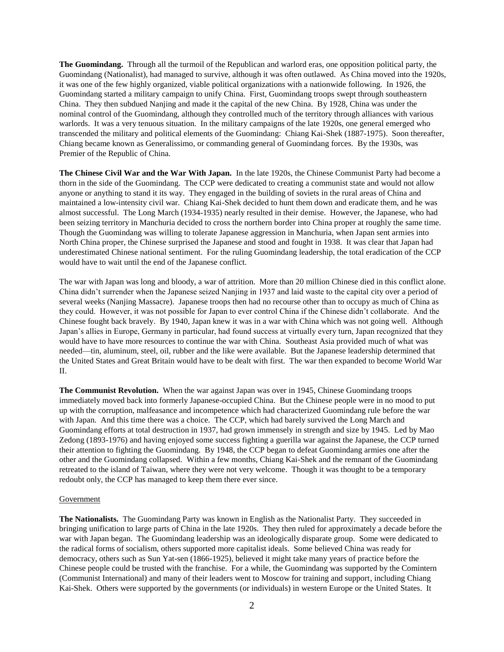**The Guomindang.** Through all the turmoil of the Republican and warlord eras, one opposition political party, the Guomindang (Nationalist), had managed to survive, although it was often outlawed. As China moved into the 1920s, it was one of the few highly organized, viable political organizations with a nationwide following. In 1926, the Guomindang started a military campaign to unify China. First, Guomindang troops swept through southeastern China. They then subdued Nanjing and made it the capital of the new China. By 1928, China was under the nominal control of the Guomindang, although they controlled much of the territory through alliances with various warlords. It was a very tenuous situation. In the military campaigns of the late 1920s, one general emerged who transcended the military and political elements of the Guomindang: Chiang Kai-Shek (1887-1975). Soon thereafter, Chiang became known as Generalissimo, or commanding general of Guomindang forces. By the 1930s, was Premier of the Republic of China.

**The Chinese Civil War and the War With Japan.** In the late 1920s, the Chinese Communist Party had become a thorn in the side of the Guomindang. The CCP were dedicated to creating a communist state and would not allow anyone or anything to stand it its way. They engaged in the building of soviets in the rural areas of China and maintained a low-intensity civil war. Chiang Kai-Shek decided to hunt them down and eradicate them, and he was almost successful. The Long March (1934-1935) nearly resulted in their demise. However, the Japanese, who had been seizing territory in Manchuria decided to cross the northern border into China proper at roughly the same time. Though the Guomindang was willing to tolerate Japanese aggression in Manchuria, when Japan sent armies into North China proper, the Chinese surprised the Japanese and stood and fought in 1938. It was clear that Japan had underestimated Chinese national sentiment. For the ruling Guomindang leadership, the total eradication of the CCP would have to wait until the end of the Japanese conflict.

The war with Japan was long and bloody, a war of attrition. More than 20 million Chinese died in this conflict alone. China didn't surrender when the Japanese seized Nanjing in 1937 and laid waste to the capital city over a period of several weeks (Nanjing Massacre). Japanese troops then had no recourse other than to occupy as much of China as they could. However, it was not possible for Japan to ever control China if the Chinese didn't collaborate. And the Chinese fought back bravely. By 1940, Japan knew it was in a war with China which was not going well. Although Japan's allies in Europe, Germany in particular, had found success at virtually every turn, Japan recognized that they would have to have more resources to continue the war with China. Southeast Asia provided much of what was needed—tin, aluminum, steel, oil, rubber and the like were available. But the Japanese leadership determined that the United States and Great Britain would have to be dealt with first. The war then expanded to become World War II.

**The Communist Revolution.** When the war against Japan was over in 1945, Chinese Guomindang troops immediately moved back into formerly Japanese-occupied China. But the Chinese people were in no mood to put up with the corruption, malfeasance and incompetence which had characterized Guomindang rule before the war with Japan. And this time there was a choice. The CCP, which had barely survived the Long March and Guomindang efforts at total destruction in 1937, had grown immensely in strength and size by 1945. Led by Mao Zedong (1893-1976) and having enjoyed some success fighting a guerilla war against the Japanese, the CCP turned their attention to fighting the Guomindang. By 1948, the CCP began to defeat Guomindang armies one after the other and the Guomindang collapsed. Within a few months, Chiang Kai-Shek and the remnant of the Guomindang retreated to the island of Taiwan, where they were not very welcome. Though it was thought to be a temporary redoubt only, the CCP has managed to keep them there ever since.

#### Government

**The Nationalists.** The Guomindang Party was known in English as the Nationalist Party. They succeeded in bringing unification to large parts of China in the late 1920s. They then ruled for approximately a decade before the war with Japan began. The Guomindang leadership was an ideologically disparate group. Some were dedicated to the radical forms of socialism, others supported more capitalist ideals. Some believed China was ready for democracy, others such as Sun Yat-sen (1866-1925), believed it might take many years of practice before the Chinese people could be trusted with the franchise. For a while, the Guomindang was supported by the Comintern (Communist International) and many of their leaders went to Moscow for training and support, including Chiang Kai-Shek. Others were supported by the governments (or individuals) in western Europe or the United States. It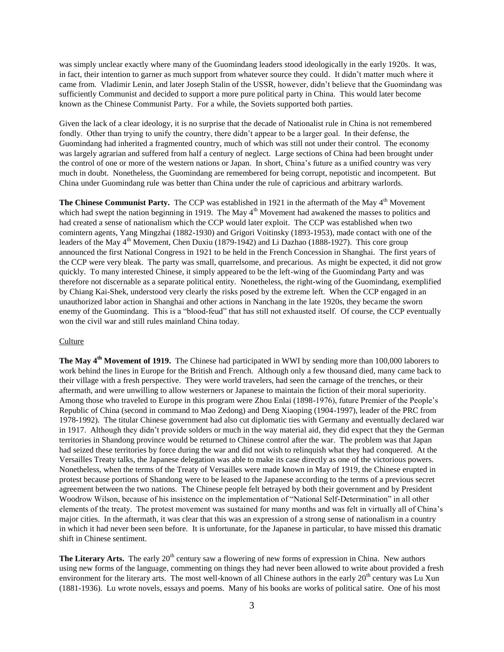was simply unclear exactly where many of the Guomindang leaders stood ideologically in the early 1920s. It was, in fact, their intention to garner as much support from whatever source they could. It didn't matter much where it came from. Vladimir Lenin, and later Joseph Stalin of the USSR, however, didn't believe that the Guomindang was sufficiently Communist and decided to support a more pure political party in China. This would later become known as the Chinese Communist Party. For a while, the Soviets supported both parties.

Given the lack of a clear ideology, it is no surprise that the decade of Nationalist rule in China is not remembered fondly. Other than trying to unify the country, there didn't appear to be a larger goal. In their defense, the Guomindang had inherited a fragmented country, much of which was still not under their control. The economy was largely agrarian and suffered from half a century of neglect. Large sections of China had been brought under the control of one or more of the western nations or Japan. In short, China's future as a unified country was very much in doubt. Nonetheless, the Guomindang are remembered for being corrupt, nepotistic and incompetent. But China under Guomindang rule was better than China under the rule of capricious and arbitrary warlords.

**The Chinese Communist Party.** The CCP was established in 1921 in the aftermath of the May 4<sup>th</sup> Movement which had swept the nation beginning in 1919. The May  $4<sup>th</sup>$  Movement had awakened the masses to politics and had created a sense of nationalism which the CCP would later exploit. The CCP was established when two comintern agents, Yang Mingzhai (1882-1930) and Grigori Voitinsky (1893-1953), made contact with one of the leaders of the May 4<sup>th</sup> Movement, Chen Duxiu (1879-1942) and Li Dazhao (1888-1927). This core group announced the first National Congress in 1921 to be held in the French Concession in Shanghai. The first years of the CCP were very bleak. The party was small, quarrelsome, and precarious. As might be expected, it did not grow quickly. To many interested Chinese, it simply appeared to be the left-wing of the Guomindang Party and was therefore not discernable as a separate political entity. Nonetheless, the right-wing of the Guomindang, exemplified by Chiang Kai-Shek, understood very clearly the risks posed by the extreme left. When the CCP engaged in an unauthorized labor action in Shanghai and other actions in Nanchang in the late 1920s, they became the sworn enemy of the Guomindang. This is a "blood-feud" that has still not exhausted itself. Of course, the CCP eventually won the civil war and still rules mainland China today.

## **Culture**

**The May 4th Movement of 1919.** The Chinese had participated in WWI by sending more than 100,000 laborers to work behind the lines in Europe for the British and French. Although only a few thousand died, many came back to their village with a fresh perspective. They were world travelers, had seen the carnage of the trenches, or their aftermath, and were unwilling to allow westerners or Japanese to maintain the fiction of their moral superiority. Among those who traveled to Europe in this program were Zhou Enlai (1898-1976), future Premier of the People's Republic of China (second in command to Mao Zedong) and Deng Xiaoping (1904-1997), leader of the PRC from 1978-1992). The titular Chinese government had also cut diplomatic ties with Germany and eventually declared war in 1917. Although they didn't provide solders or much in the way material aid, they did expect that they the German territories in Shandong province would be returned to Chinese control after the war. The problem was that Japan had seized these territories by force during the war and did not wish to relinquish what they had conquered. At the Versailles Treaty talks, the Japanese delegation was able to make its case directly as one of the victorious powers. Nonetheless, when the terms of the Treaty of Versailles were made known in May of 1919, the Chinese erupted in protest because portions of Shandong were to be leased to the Japanese according to the terms of a previous secret agreement between the two nations. The Chinese people felt betrayed by both their government and by President Woodrow Wilson, because of his insistence on the implementation of "National Self-Determination" in all other elements of the treaty. The protest movement was sustained for many months and was felt in virtually all of China's major cities. In the aftermath, it was clear that this was an expression of a strong sense of nationalism in a country in which it had never been seen before. It is unfortunate, for the Japanese in particular, to have missed this dramatic shift in Chinese sentiment.

**The Literary Arts.** The early 20<sup>th</sup> century saw a flowering of new forms of expression in China. New authors using new forms of the language, commenting on things they had never been allowed to write about provided a fresh environment for the literary arts. The most well-known of all Chinese authors in the early 20<sup>th</sup> century was Lu Xun (1881-1936). Lu wrote novels, essays and poems. Many of his books are works of political satire. One of his most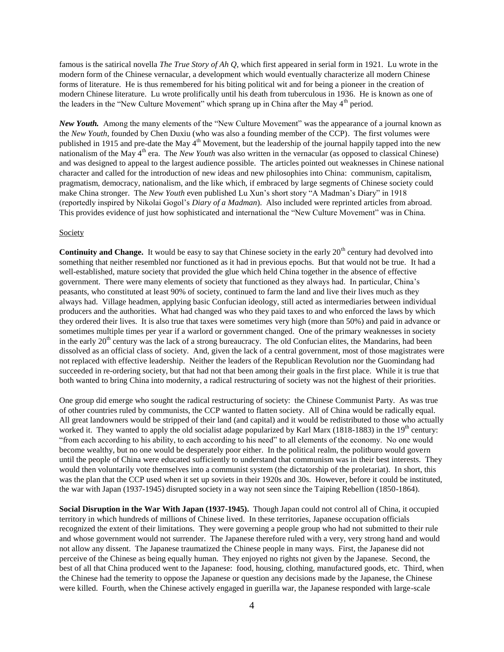famous is the satirical novella *The True Story of Ah Q*, which first appeared in serial form in 1921. Lu wrote in the modern form of the Chinese vernacular, a development which would eventually characterize all modern Chinese forms of literature. He is thus remembered for his biting political wit and for being a pioneer in the creation of modern Chinese literature. Lu wrote prolifically until his death from tuberculous in 1936. He is known as one of the leaders in the "New Culture Movement" which sprang up in China after the May  $4<sup>th</sup>$  period.

*New Youth.* Among the many elements of the "New Culture Movement" was the appearance of a journal known as the *New Youth*, founded by Chen Duxiu (who was also a founding member of the CCP). The first volumes were published in 1915 and pre-date the May 4<sup>th</sup> Movement, but the leadership of the journal happily tapped into the new nationalism of the May 4<sup>th</sup> era. The *New Youth* was also written in the vernacular (as opposed to classical Chinese) and was designed to appeal to the largest audience possible. The articles pointed out weaknesses in Chinese national character and called for the introduction of new ideas and new philosophies into China: communism, capitalism, pragmatism, democracy, nationalism, and the like which, if embraced by large segments of Chinese society could make China stronger. The *New Youth* even published Lu Xun's short story "A Madman's Diary" in 1918 (reportedly inspired by Nikolai Gogol's *Diary of a Madman*). Also included were reprinted articles from abroad. This provides evidence of just how sophisticated and international the "New Culture Movement" was in China.

#### Society

**Continuity and Change.** It would be easy to say that Chinese society in the early 20<sup>th</sup> century had devolved into something that neither resembled nor functioned as it had in previous epochs. But that would not be true. It had a well-established, mature society that provided the glue which held China together in the absence of effective government. There were many elements of society that functioned as they always had. In particular, China's peasants, who constituted at least 90% of society, continued to farm the land and live their lives much as they always had. Village headmen, applying basic Confucian ideology, still acted as intermediaries between individual producers and the authorities. What had changed was who they paid taxes to and who enforced the laws by which they ordered their lives. It is also true that taxes were sometimes very high (more than 50%) and paid in advance or sometimes multiple times per year if a warlord or government changed. One of the primary weaknesses in society in the early 20<sup>th</sup> century was the lack of a strong bureaucracy. The old Confucian elites, the Mandarins, had been dissolved as an official class of society. And, given the lack of a central government, most of those magistrates were not replaced with effective leadership. Neither the leaders of the Republican Revolution nor the Guomindang had succeeded in re-ordering society, but that had not that been among their goals in the first place. While it is true that both wanted to bring China into modernity, a radical restructuring of society was not the highest of their priorities.

One group did emerge who sought the radical restructuring of society: the Chinese Communist Party. As was true of other countries ruled by communists, the CCP wanted to flatten society. All of China would be radically equal. All great landowners would be stripped of their land (and capital) and it would be redistributed to those who actually worked it. They wanted to apply the old socialist adage popularized by Karl Marx (1818-1883) in the  $19<sup>th</sup>$  century: "from each according to his ability, to each according to his need" to all elements of the economy. No one would become wealthy, but no one would be desperately poor either. In the political realm, the politburo would govern until the people of China were educated sufficiently to understand that communism was in their best interests. They would then voluntarily vote themselves into a communist system (the dictatorship of the proletariat). In short, this was the plan that the CCP used when it set up soviets in their 1920s and 30s. However, before it could be instituted, the war with Japan (1937-1945) disrupted society in a way not seen since the Taiping Rebellion (1850-1864).

**Social Disruption in the War With Japan (1937-1945).** Though Japan could not control all of China, it occupied territory in which hundreds of millions of Chinese lived. In these territories, Japanese occupation officials recognized the extent of their limitations. They were governing a people group who had not submitted to their rule and whose government would not surrender. The Japanese therefore ruled with a very, very strong hand and would not allow any dissent. The Japanese traumatized the Chinese people in many ways. First, the Japanese did not perceive of the Chinese as being equally human. They enjoyed no rights not given by the Japanese. Second, the best of all that China produced went to the Japanese: food, housing, clothing, manufactured goods, etc. Third, when the Chinese had the temerity to oppose the Japanese or question any decisions made by the Japanese, the Chinese were killed. Fourth, when the Chinese actively engaged in guerilla war, the Japanese responded with large-scale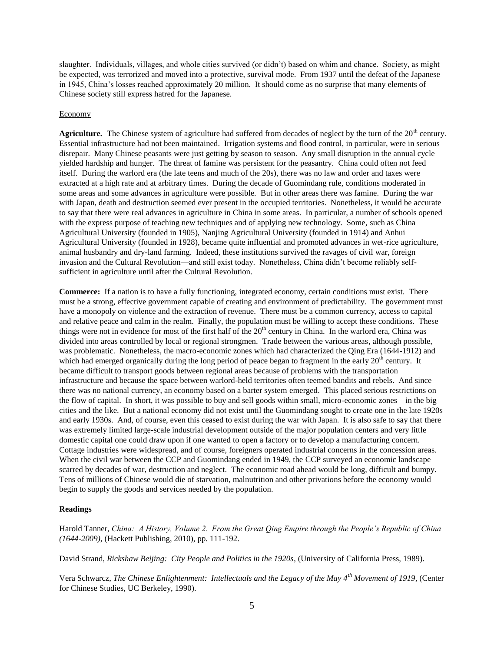slaughter. Individuals, villages, and whole cities survived (or didn't) based on whim and chance. Society, as might be expected, was terrorized and moved into a protective, survival mode. From 1937 until the defeat of the Japanese in 1945, China's losses reached approximately 20 million. It should come as no surprise that many elements of Chinese society still express hatred for the Japanese.

## Economy

**Agriculture.** The Chinese system of agriculture had suffered from decades of neglect by the turn of the  $20<sup>th</sup>$  century. Essential infrastructure had not been maintained. Irrigation systems and flood control, in particular, were in serious disrepair. Many Chinese peasants were just getting by season to season. Any small disruption in the annual cycle yielded hardship and hunger. The threat of famine was persistent for the peasantry. China could often not feed itself. During the warlord era (the late teens and much of the 20s), there was no law and order and taxes were extracted at a high rate and at arbitrary times. During the decade of Guomindang rule, conditions moderated in some areas and some advances in agriculture were possible. But in other areas there was famine. During the war with Japan, death and destruction seemed ever present in the occupied territories. Nonetheless, it would be accurate to say that there were real advances in agriculture in China in some areas. In particular, a number of schools opened with the express purpose of teaching new techniques and of applying new technology. Some, such as China Agricultural University (founded in 1905), Nanjing Agricultural University (founded in 1914) and Anhui Agricultural University (founded in 1928), became quite influential and promoted advances in wet-rice agriculture, animal husbandry and dry-land farming. Indeed, these institutions survived the ravages of civil war, foreign invasion and the Cultural Revolution—and still exist today. Nonetheless, China didn't become reliably selfsufficient in agriculture until after the Cultural Revolution.

**Commerce:** If a nation is to have a fully functioning, integrated economy, certain conditions must exist. There must be a strong, effective government capable of creating and environment of predictability. The government must have a monopoly on violence and the extraction of revenue. There must be a common currency, access to capital and relative peace and calm in the realm. Finally, the population must be willing to accept these conditions. These things were not in evidence for most of the first half of the  $20<sup>th</sup>$  century in China. In the warlord era, China was divided into areas controlled by local or regional strongmen. Trade between the various areas, although possible, was problematic. Nonetheless, the macro-economic zones which had characterized the Qing Era (1644-1912) and which had emerged organically during the long period of peace began to fragment in the early  $20<sup>th</sup>$  century. It became difficult to transport goods between regional areas because of problems with the transportation infrastructure and because the space between warlord-held territories often teemed bandits and rebels. And since there was no national currency, an economy based on a barter system emerged. This placed serious restrictions on the flow of capital. In short, it was possible to buy and sell goods within small, micro-economic zones—in the big cities and the like. But a national economy did not exist until the Guomindang sought to create one in the late 1920s and early 1930s. And, of course, even this ceased to exist during the war with Japan. It is also safe to say that there was extremely limited large-scale industrial development outside of the major population centers and very little domestic capital one could draw upon if one wanted to open a factory or to develop a manufacturing concern. Cottage industries were widespread, and of course, foreigners operated industrial concerns in the concession areas. When the civil war between the CCP and Guomindang ended in 1949, the CCP surveyed an economic landscape scarred by decades of war, destruction and neglect. The economic road ahead would be long, difficult and bumpy. Tens of millions of Chinese would die of starvation, malnutrition and other privations before the economy would begin to supply the goods and services needed by the population.

# **Readings**

Harold Tanner, *China: A History, Volume 2. From the Great Qing Empire through the People's Republic of China (1644-2009),* (Hackett Publishing, 2010), pp. 111-192.

David Strand, *Rickshaw Beijing: City People and Politics in the 1920s*, (University of California Press, 1989).

Vera Schwarcz, *The Chinese Enlightenment: Intellectuals and the Legacy of the May 4th Movement of 1919*, (Center for Chinese Studies, UC Berkeley, 1990).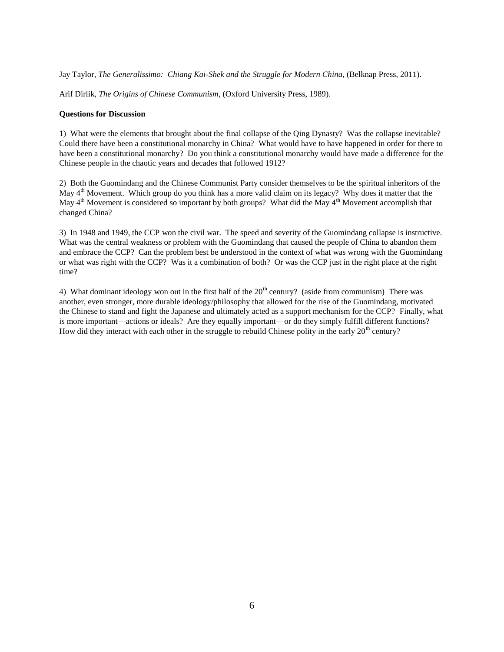Jay Taylor, *The Generalissimo: Chiang Kai-Shek and the Struggle for Modern China*, (Belknap Press, 2011).

Arif Dirlik, *The Origins of Chinese Communism*, (Oxford University Press, 1989).

## **Questions for Discussion**

1) What were the elements that brought about the final collapse of the Qing Dynasty? Was the collapse inevitable? Could there have been a constitutional monarchy in China? What would have to have happened in order for there to have been a constitutional monarchy? Do you think a constitutional monarchy would have made a difference for the Chinese people in the chaotic years and decades that followed 1912?

2) Both the Guomindang and the Chinese Communist Party consider themselves to be the spiritual inheritors of the May  $4<sup>th</sup>$  Movement. Which group do you think has a more valid claim on its legacy? Why does it matter that the May  $4<sup>th</sup>$  Movement is considered so important by both groups? What did the May  $4<sup>th</sup>$  Movement accomplish that changed China?

3) In 1948 and 1949, the CCP won the civil war. The speed and severity of the Guomindang collapse is instructive. What was the central weakness or problem with the Guomindang that caused the people of China to abandon them and embrace the CCP? Can the problem best be understood in the context of what was wrong with the Guomindang or what was right with the CCP? Was it a combination of both? Or was the CCP just in the right place at the right time?

4) What dominant ideology won out in the first half of the  $20<sup>th</sup>$  century? (aside from communism) There was another, even stronger, more durable ideology/philosophy that allowed for the rise of the Guomindang, motivated the Chinese to stand and fight the Japanese and ultimately acted as a support mechanism for the CCP? Finally, what is more important—actions or ideals? Are they equally important—or do they simply fulfill different functions? How did they interact with each other in the struggle to rebuild Chinese polity in the early  $20<sup>th</sup>$  century?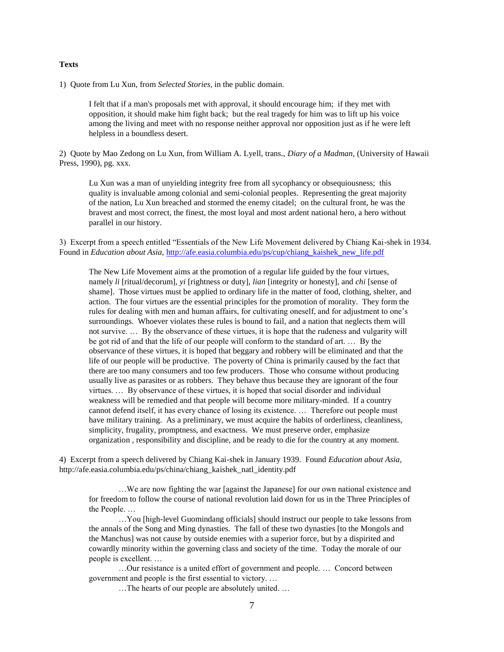#### **Texts**

1) Quote from Lu Xun, from *Selected Stories,* in the public domain.

I felt that if a man's proposals met with approval, it should encourage him; if they met with opposition, it should make him fight back; but the real tragedy for him was to lift up his voice among the living and meet with no response neither approval nor opposition just as if he were left helpless in a boundless desert.

2) Quote by Mao Zedong on Lu Xun, from William A. Lyell, trans., *Diary of a Madman*, (University of Hawaii Press, 1990), pg. xxx.

Lu Xun was a man of unyielding integrity free from all sycophancy or obsequiousness; this quality is invaluable among colonial and semi-colonial peoples. Representing the great majority of the nation, Lu Xun breached and stormed the enemy citadel; on the cultural front, he was the bravest and most correct, the finest, the most loyal and most ardent national hero, a hero without parallel in our history.

3) Excerpt from a speech entitled "Essentials of the New Life Movement delivered by Chiang Kai-shek in 1934. Found in *Education about Asia,* [http://afe.easia.columbia.edu/ps/cup/chiang\\_kaishek\\_new\\_life.pdf](http://afe.easia.columbia.edu/ps/cup/chiang_kaishek_new_life.pdf)

The New Life Movement aims at the promotion of a regular life guided by the four virtues, namely *li* [ritual/decorum], *yi* [rightness or duty], *lian* [integrity or honesty], and *chi* [sense of shame]. Those virtues must be applied to ordinary life in the matter of food, clothing, shelter, and action. The four virtues are the essential principles for the promotion of morality. They form the rules for dealing with men and human affairs, for cultivating oneself, and for adjustment to one's surroundings. Whoever violates these rules is bound to fail, and a nation that neglects them will not survive. … By the observance of these virtues, it is hope that the rudeness and vulgarity will be got rid of and that the life of our people will conform to the standard of art. … By the observance of these virtues, it is hoped that beggary and robbery will be eliminated and that the life of our people will be productive. The poverty of China is primarily caused by the fact that there are too many consumers and too few producers. Those who consume without producing usually live as parasites or as robbers. They behave thus because they are ignorant of the four virtues. … By observance of these virtues, it is hoped that social disorder and individual weakness will be remedied and that people will become more military-minded. If a country cannot defend itself, it has every chance of losing its existence. … Therefore out people must have military training. As a preliminary, we must acquire the habits of orderliness, cleanliness, simplicity, frugality, promptness, and exactness. We must preserve order, emphasize organization , responsibility and discipline, and be ready to die for the country at any moment.

4) Excerpt from a speech delivered by Chiang Kai-shek in January 1939. Found *Education about Asia,* http://afe.easia.columbia.edu/ps/china/chiang\_kaishek\_natl\_identity.pdf

…We are now fighting the war [against the Japanese] for our own national existence and for freedom to follow the course of national revolution laid down for us in the Three Principles of the People. …

…You [high-level Guomindang officials] should instruct our people to take lessons from the annals of the Song and Ming dynasties. The fall of these two dynasties [to the Mongols and the Manchus] was not cause by outside enemies with a superior force, but by a dispirited and cowardly minority within the governing class and society of the time. Today the morale of our people is excellent. …

…Our resistance is a united effort of government and people. … Concord between government and people is the first essential to victory. …

…The hearts of our people are absolutely united. …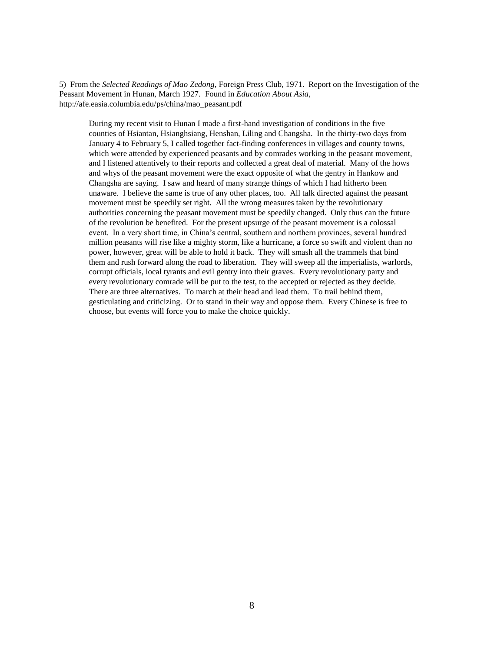5) From the *Selected Readings of Mao Zedong*, Foreign Press Club, 1971. Report on the Investigation of the Peasant Movement in Hunan, March 1927. Found in *Education About Asia,* http://afe.easia.columbia.edu/ps/china/mao\_peasant.pdf

During my recent visit to Hunan I made a first-hand investigation of conditions in the five counties of Hsiantan, Hsianghsiang, Henshan, Liling and Changsha. In the thirty-two days from January 4 to February 5, I called together fact-finding conferences in villages and county towns, which were attended by experienced peasants and by comrades working in the peasant movement, and I listened attentively to their reports and collected a great deal of material. Many of the hows and whys of the peasant movement were the exact opposite of what the gentry in Hankow and Changsha are saying. I saw and heard of many strange things of which I had hitherto been unaware. I believe the same is true of any other places, too. All talk directed against the peasant movement must be speedily set right. All the wrong measures taken by the revolutionary authorities concerning the peasant movement must be speedily changed. Only thus can the future of the revolution be benefited. For the present upsurge of the peasant movement is a colossal event. In a very short time, in China's central, southern and northern provinces, several hundred million peasants will rise like a mighty storm, like a hurricane, a force so swift and violent than no power, however, great will be able to hold it back. They will smash all the trammels that bind them and rush forward along the road to liberation. They will sweep all the imperialists, warlords, corrupt officials, local tyrants and evil gentry into their graves. Every revolutionary party and every revolutionary comrade will be put to the test, to the accepted or rejected as they decide. There are three alternatives. To march at their head and lead them. To trail behind them, gesticulating and criticizing. Or to stand in their way and oppose them. Every Chinese is free to choose, but events will force you to make the choice quickly.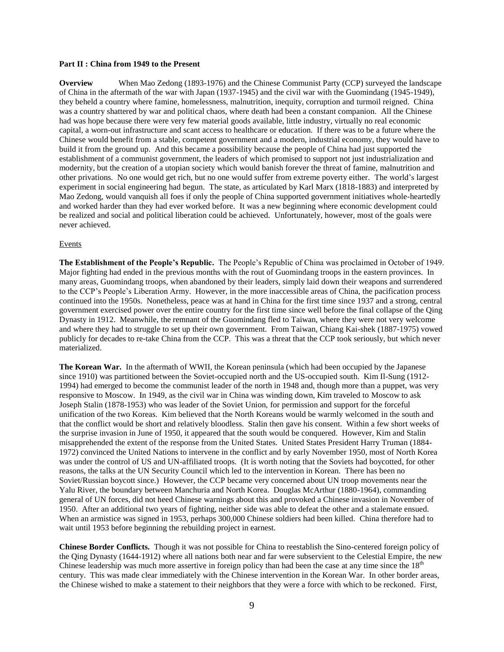## **Part II : China from 1949 to the Present**

**Overview** When Mao Zedong (1893-1976) and the Chinese Communist Party (CCP) surveyed the landscape of China in the aftermath of the war with Japan (1937-1945) and the civil war with the Guomindang (1945-1949), they beheld a country where famine, homelessness, malnutrition, inequity, corruption and turmoil reigned. China was a country shattered by war and political chaos, where death had been a constant companion. All the Chinese had was hope because there were very few material goods available, little industry, virtually no real economic capital, a worn-out infrastructure and scant access to healthcare or education. If there was to be a future where the Chinese would benefit from a stable, competent government and a modern, industrial economy, they would have to build it from the ground up. And this became a possibility because the people of China had just supported the establishment of a communist government, the leaders of which promised to support not just industrialization and modernity, but the creation of a utopian society which would banish forever the threat of famine, malnutrition and other privations. No one would get rich, but no one would suffer from extreme poverty either. The world's largest experiment in social engineering had begun. The state, as articulated by Karl Marx (1818-1883) and interpreted by Mao Zedong, would vanquish all foes if only the people of China supported government initiatives whole-heartedly and worked harder than they had ever worked before. It was a new beginning where economic development could be realized and social and political liberation could be achieved. Unfortunately, however, most of the goals were never achieved.

## Events

**The Establishment of the People's Republic.** The People's Republic of China was proclaimed in October of 1949. Major fighting had ended in the previous months with the rout of Guomindang troops in the eastern provinces. In many areas, Guomindang troops, when abandoned by their leaders, simply laid down their weapons and surrendered to the CCP's People's Liberation Army. However, in the more inaccessible areas of China, the pacification process continued into the 1950s. Nonetheless, peace was at hand in China for the first time since 1937 and a strong, central government exercised power over the entire country for the first time since well before the final collapse of the Qing Dynasty in 1912. Meanwhile, the remnant of the Guomindang fled to Taiwan, where they were not very welcome and where they had to struggle to set up their own government. From Taiwan, Chiang Kai-shek (1887-1975) vowed publicly for decades to re-take China from the CCP. This was a threat that the CCP took seriously, but which never materialized.

**The Korean War.** In the aftermath of WWII, the Korean peninsula (which had been occupied by the Japanese since 1910) was partitioned between the Soviet-occupied north and the US-occupied south. Kim Il-Sung (1912- 1994) had emerged to become the communist leader of the north in 1948 and, though more than a puppet, was very responsive to Moscow. In 1949, as the civil war in China was winding down, Kim traveled to Moscow to ask Joseph Stalin (1878-1953) who was leader of the Soviet Union, for permission and support for the forceful unification of the two Koreas. Kim believed that the North Koreans would be warmly welcomed in the south and that the conflict would be short and relatively bloodless. Stalin then gave his consent. Within a few short weeks of the surprise invasion in June of 1950, it appeared that the south would be conquered. However, Kim and Stalin misapprehended the extent of the response from the United States. United States President Harry Truman (1884- 1972) convinced the United Nations to intervene in the conflict and by early November 1950, most of North Korea was under the control of US and UN-affiliated troops. (It is worth noting that the Soviets had boycotted, for other reasons, the talks at the UN Security Council which led to the intervention in Korean. There has been no Soviet/Russian boycott since.) However, the CCP became very concerned about UN troop movements near the Yalu River, the boundary between Manchuria and North Korea. Douglas McArthur (1880-1964), commanding general of UN forces, did not heed Chinese warnings about this and provoked a Chinese invasion in November of 1950. After an additional two years of fighting, neither side was able to defeat the other and a stalemate ensued. When an armistice was signed in 1953, perhaps 300,000 Chinese soldiers had been killed. China therefore had to wait until 1953 before beginning the rebuilding project in earnest.

**Chinese Border Conflicts.** Though it was not possible for China to reestablish the Sino-centered foreign policy of the Qing Dynasty (1644-1912) where all nations both near and far were subservient to the Celestial Empire, the new Chinese leadership was much more assertive in foreign policy than had been the case at any time since the 18<sup>th</sup> century. This was made clear immediately with the Chinese intervention in the Korean War. In other border areas, the Chinese wished to make a statement to their neighbors that they were a force with which to be reckoned. First,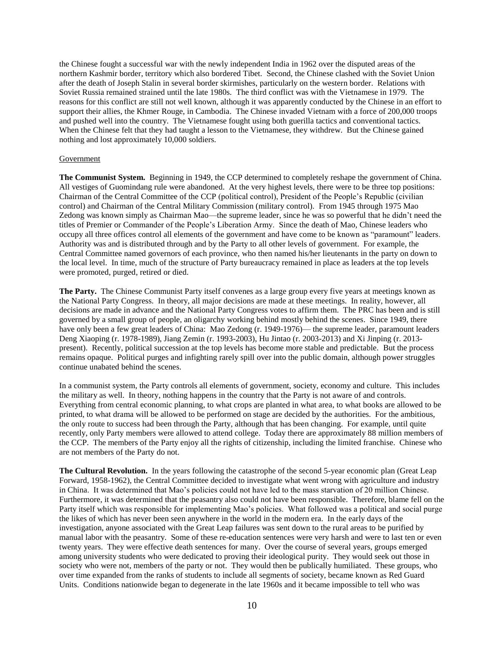the Chinese fought a successful war with the newly independent India in 1962 over the disputed areas of the northern Kashmir border, territory which also bordered Tibet. Second, the Chinese clashed with the Soviet Union after the death of Joseph Stalin in several border skirmishes, particularly on the western border. Relations with Soviet Russia remained strained until the late 1980s. The third conflict was with the Vietnamese in 1979. The reasons for this conflict are still not well known, although it was apparently conducted by the Chinese in an effort to support their allies, the Khmer Rouge, in Cambodia. The Chinese invaded Vietnam with a force of 200,000 troops and pushed well into the country. The Vietnamese fought using both guerilla tactics and conventional tactics. When the Chinese felt that they had taught a lesson to the Vietnamese, they withdrew. But the Chinese gained nothing and lost approximately 10,000 soldiers.

## Government

**The Communist System.** Beginning in 1949, the CCP determined to completely reshape the government of China. All vestiges of Guomindang rule were abandoned. At the very highest levels, there were to be three top positions: Chairman of the Central Committee of the CCP (political control), President of the People's Republic (civilian control) and Chairman of the Central Military Commission (military control). From 1945 through 1975 Mao Zedong was known simply as Chairman Mao—the supreme leader, since he was so powerful that he didn't need the titles of Premier or Commander of the People's Liberation Army. Since the death of Mao, Chinese leaders who occupy all three offices control all elements of the government and have come to be known as "paramount" leaders. Authority was and is distributed through and by the Party to all other levels of government. For example, the Central Committee named governors of each province, who then named his/her lieutenants in the party on down to the local level. In time, much of the structure of Party bureaucracy remained in place as leaders at the top levels were promoted, purged, retired or died.

**The Party.** The Chinese Communist Party itself convenes as a large group every five years at meetings known as the National Party Congress. In theory, all major decisions are made at these meetings. In reality, however, all decisions are made in advance and the National Party Congress votes to affirm them. The PRC has been and is still governed by a small group of people, an oligarchy working behind mostly behind the scenes. Since 1949, there have only been a few great leaders of China: Mao Zedong (r. 1949-1976)— the supreme leader, paramount leaders Deng Xiaoping (r. 1978-1989), Jiang Zemin (r. 1993-2003), Hu Jintao (r. 2003-2013) and Xi Jinping (r. 2013 present). Recently, political succession at the top levels has become more stable and predictable. But the process remains opaque. Political purges and infighting rarely spill over into the public domain, although power struggles continue unabated behind the scenes.

In a communist system, the Party controls all elements of government, society, economy and culture. This includes the military as well. In theory, nothing happens in the country that the Party is not aware of and controls. Everything from central economic planning, to what crops are planted in what area, to what books are allowed to be printed, to what drama will be allowed to be performed on stage are decided by the authorities. For the ambitious, the only route to success had been through the Party, although that has been changing. For example, until quite recently, only Party members were allowed to attend college. Today there are approximately 88 million members of the CCP. The members of the Party enjoy all the rights of citizenship, including the limited franchise. Chinese who are not members of the Party do not.

**The Cultural Revolution.** In the years following the catastrophe of the second 5-year economic plan (Great Leap Forward, 1958-1962), the Central Committee decided to investigate what went wrong with agriculture and industry in China. It was determined that Mao's policies could not have led to the mass starvation of 20 million Chinese. Furthermore, it was determined that the peasantry also could not have been responsible. Therefore, blame fell on the Party itself which was responsible for implementing Mao's policies. What followed was a political and social purge the likes of which has never been seen anywhere in the world in the modern era. In the early days of the investigation, anyone associated with the Great Leap failures was sent down to the rural areas to be purified by manual labor with the peasantry. Some of these re-education sentences were very harsh and were to last ten or even twenty years. They were effective death sentences for many. Over the course of several years, groups emerged among university students who were dedicated to proving their ideological purity. They would seek out those in society who were not, members of the party or not. They would then be publically humiliated. These groups, who over time expanded from the ranks of students to include all segments of society, became known as Red Guard Units. Conditions nationwide began to degenerate in the late 1960s and it became impossible to tell who was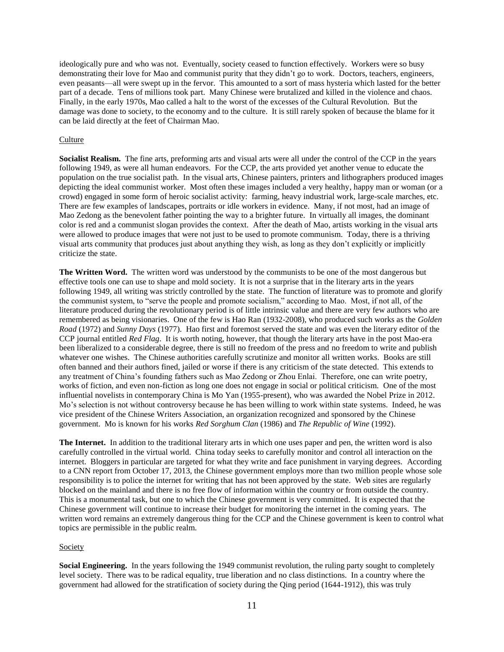ideologically pure and who was not. Eventually, society ceased to function effectively. Workers were so busy demonstrating their love for Mao and communist purity that they didn't go to work. Doctors, teachers, engineers, even peasants—all were swept up in the fervor. This amounted to a sort of mass hysteria which lasted for the better part of a decade. Tens of millions took part. Many Chinese were brutalized and killed in the violence and chaos. Finally, in the early 1970s, Mao called a halt to the worst of the excesses of the Cultural Revolution. But the damage was done to society, to the economy and to the culture. It is still rarely spoken of because the blame for it can be laid directly at the feet of Chairman Mao.

## **Culture**

**Socialist Realism.** The fine arts, preforming arts and visual arts were all under the control of the CCP in the years following 1949, as were all human endeavors. For the CCP, the arts provided yet another venue to educate the population on the true socialist path. In the visual arts, Chinese painters, printers and lithographers produced images depicting the ideal communist worker. Most often these images included a very healthy, happy man or woman (or a crowd) engaged in some form of heroic socialist activity: farming, heavy industrial work, large-scale marches, etc. There are few examples of landscapes, portraits or idle workers in evidence. Many, if not most, had an image of Mao Zedong as the benevolent father pointing the way to a brighter future. In virtually all images, the dominant color is red and a communist slogan provides the context. After the death of Mao, artists working in the visual arts were allowed to produce images that were not just to be used to promote communism. Today, there is a thriving visual arts community that produces just about anything they wish, as long as they don't explicitly or implicitly criticize the state.

**The Written Word.** The written word was understood by the communists to be one of the most dangerous but effective tools one can use to shape and mold society. It is not a surprise that in the literary arts in the years following 1949, all writing was strictly controlled by the state. The function of literature was to promote and glorify the communist system, to "serve the people and promote socialism," according to Mao. Most, if not all, of the literature produced during the revolutionary period is of little intrinsic value and there are very few authors who are remembered as being visionaries. One of the few is Hao Ran (1932-2008), who produced such works as the *Golden Road* (1972) and *Sunny Days* (1977). Hao first and foremost served the state and was even the literary editor of the CCP journal entitled *Red Flag*. It is worth noting, however, that though the literary arts have in the post Mao-era been liberalized to a considerable degree, there is still no freedom of the press and no freedom to write and publish whatever one wishes. The Chinese authorities carefully scrutinize and monitor all written works. Books are still often banned and their authors fined, jailed or worse if there is any criticism of the state detected. This extends to any treatment of China's founding fathers such as Mao Zedong or Zhou Enlai. Therefore, one can write poetry, works of fiction, and even non-fiction as long one does not engage in social or political criticism. One of the most influential novelists in contemporary China is Mo Yan (1955-present), who was awarded the Nobel Prize in 2012. Mo's selection is not without controversy because he has been willing to work within state systems. Indeed, he was vice president of the Chinese Writers Association, an organization recognized and sponsored by the Chinese government. Mo is known for his works *Red Sorghum Clan* (1986) and *The Republic of Wine* (1992).

**The Internet.** In addition to the traditional literary arts in which one uses paper and pen, the written word is also carefully controlled in the virtual world. China today seeks to carefully monitor and control all interaction on the internet. Bloggers in particular are targeted for what they write and face punishment in varying degrees. According to a CNN report from October 17, 2013, the Chinese government employs more than two million people whose sole responsibility is to police the internet for writing that has not been approved by the state. Web sites are regularly blocked on the mainland and there is no free flow of information within the country or from outside the country. This is a monumental task, but one to which the Chinese government is very committed. It is expected that the Chinese government will continue to increase their budget for monitoring the internet in the coming years. The written word remains an extremely dangerous thing for the CCP and the Chinese government is keen to control what topics are permissible in the public realm.

#### Society

**Social Engineering.** In the years following the 1949 communist revolution, the ruling party sought to completely level society. There was to be radical equality, true liberation and no class distinctions. In a country where the government had allowed for the stratification of society during the Qing period (1644-1912), this was truly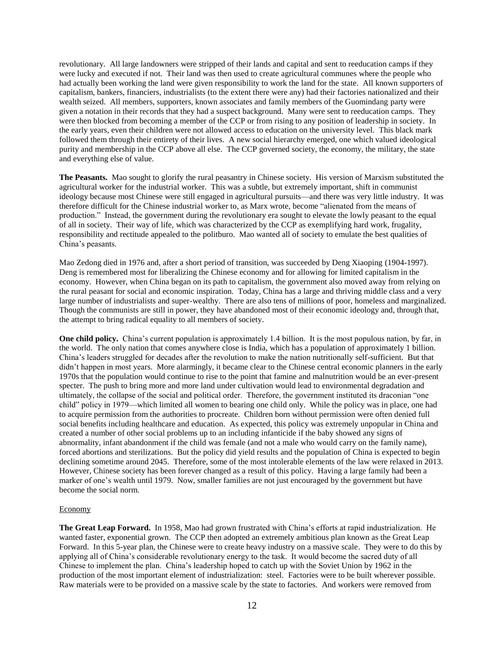revolutionary. All large landowners were stripped of their lands and capital and sent to reeducation camps if they were lucky and executed if not. Their land was then used to create agricultural communes where the people who had actually been working the land were given responsibility to work the land for the state. All known supporters of capitalism, bankers, financiers, industrialists (to the extent there were any) had their factories nationalized and their wealth seized. All members, supporters, known associates and family members of the Guomindang party were given a notation in their records that they had a suspect background. Many were sent to reeducation camps. They were then blocked from becoming a member of the CCP or from rising to any position of leadership in society. In the early years, even their children were not allowed access to education on the university level. This black mark followed them through their entirety of their lives. A new social hierarchy emerged, one which valued ideological purity and membership in the CCP above all else. The CCP governed society, the economy, the military, the state and everything else of value.

**The Peasants.** Mao sought to glorify the rural peasantry in Chinese society. His version of Marxism substituted the agricultural worker for the industrial worker. This was a subtle, but extremely important, shift in communist ideology because most Chinese were still engaged in agricultural pursuits—and there was very little industry. It was therefore difficult for the Chinese industrial worker to, as Marx wrote, become "alienated from the means of production." Instead, the government during the revolutionary era sought to elevate the lowly peasant to the equal of all in society. Their way of life, which was characterized by the CCP as exemplifying hard work, frugality, responsibility and rectitude appealed to the politburo. Mao wanted all of society to emulate the best qualities of China's peasants.

Mao Zedong died in 1976 and, after a short period of transition, was succeeded by Deng Xiaoping (1904-1997). Deng is remembered most for liberalizing the Chinese economy and for allowing for limited capitalism in the economy. However, when China began on its path to capitalism, the government also moved away from relying on the rural peasant for social and economic inspiration. Today, China has a large and thriving middle class and a very large number of industrialists and super-wealthy. There are also tens of millions of poor, homeless and marginalized. Though the communists are still in power, they have abandoned most of their economic ideology and, through that, the attempt to bring radical equality to all members of society.

**One child policy.** China's current population is approximately 1.4 billion. It is the most populous nation, by far, in the world. The only nation that comes anywhere close is India, which has a population of approximately 1 billion. China's leaders struggled for decades after the revolution to make the nation nutritionally self-sufficient. But that didn't happen in most years. More alarmingly, it became clear to the Chinese central economic planners in the early 1970s that the population would continue to rise to the point that famine and malnutrition would be an ever-present specter. The push to bring more and more land under cultivation would lead to environmental degradation and ultimately, the collapse of the social and political order. Therefore, the government instituted its draconian "one child" policy in 1979—which limited all women to bearing one child only. While the policy was in place, one had to acquire permission from the authorities to procreate. Children born without permission were often denied full social benefits including healthcare and education. As expected, this policy was extremely unpopular in China and created a number of other social problems up to an including infanticide if the baby showed any signs of abnormality, infant abandonment if the child was female (and not a male who would carry on the family name), forced abortions and sterilizations. But the policy did yield results and the population of China is expected to begin declining sometime around 2045. Therefore, some of the most intolerable elements of the law were relaxed in 2013. However, Chinese society has been forever changed as a result of this policy. Having a large family had been a marker of one's wealth until 1979. Now, smaller families are not just encouraged by the government but have become the social norm.

#### Economy

**The Great Leap Forward.** In 1958, Mao had grown frustrated with China's efforts at rapid industrialization. He wanted faster, exponential grown. The CCP then adopted an extremely ambitious plan known as the Great Leap Forward. In this 5-year plan, the Chinese were to create heavy industry on a massive scale. They were to do this by applying all of China's considerable revolutionary energy to the task. It would become the sacred duty of all Chinese to implement the plan. China's leadership hoped to catch up with the Soviet Union by 1962 in the production of the most important element of industrialization: steel. Factories were to be built wherever possible. Raw materials were to be provided on a massive scale by the state to factories. And workers were removed from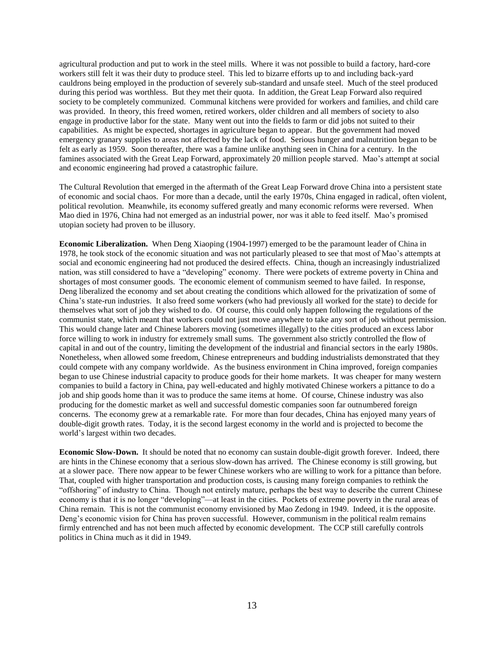agricultural production and put to work in the steel mills. Where it was not possible to build a factory, hard-core workers still felt it was their duty to produce steel. This led to bizarre efforts up to and including back-yard cauldrons being employed in the production of severely sub-standard and unsafe steel. Much of the steel produced during this period was worthless. But they met their quota. In addition, the Great Leap Forward also required society to be completely communized. Communal kitchens were provided for workers and families, and child care was provided. In theory, this freed women, retired workers, older children and all members of society to also engage in productive labor for the state. Many went out into the fields to farm or did jobs not suited to their capabilities. As might be expected, shortages in agriculture began to appear. But the government had moved emergency granary supplies to areas not affected by the lack of food. Serious hunger and malnutrition began to be felt as early as 1959. Soon thereafter, there was a famine unlike anything seen in China for a century. In the famines associated with the Great Leap Forward, approximately 20 million people starved. Mao's attempt at social and economic engineering had proved a catastrophic failure.

The Cultural Revolution that emerged in the aftermath of the Great Leap Forward drove China into a persistent state of economic and social chaos. For more than a decade, until the early 1970s, China engaged in radical, often violent, political revolution. Meanwhile, its economy suffered greatly and many economic reforms were reversed. When Mao died in 1976, China had not emerged as an industrial power, nor was it able to feed itself. Mao's promised utopian society had proven to be illusory.

**Economic Liberalization.** When Deng Xiaoping (1904-1997) emerged to be the paramount leader of China in 1978, he took stock of the economic situation and was not particularly pleased to see that most of Mao's attempts at social and economic engineering had not produced the desired effects. China, though an increasingly industrialized nation, was still considered to have a "developing" economy. There were pockets of extreme poverty in China and shortages of most consumer goods. The economic element of communism seemed to have failed. In response, Deng liberalized the economy and set about creating the conditions which allowed for the privatization of some of China's state-run industries. It also freed some workers (who had previously all worked for the state) to decide for themselves what sort of job they wished to do. Of course, this could only happen following the regulations of the communist state, which meant that workers could not just move anywhere to take any sort of job without permission. This would change later and Chinese laborers moving (sometimes illegally) to the cities produced an excess labor force willing to work in industry for extremely small sums. The government also strictly controlled the flow of capital in and out of the country, limiting the development of the industrial and financial sectors in the early 1980s. Nonetheless, when allowed some freedom, Chinese entrepreneurs and budding industrialists demonstrated that they could compete with any company worldwide. As the business environment in China improved, foreign companies began to use Chinese industrial capacity to produce goods for their home markets. It was cheaper for many western companies to build a factory in China, pay well-educated and highly motivated Chinese workers a pittance to do a job and ship goods home than it was to produce the same items at home. Of course, Chinese industry was also producing for the domestic market as well and successful domestic companies soon far outnumbered foreign concerns. The economy grew at a remarkable rate. For more than four decades, China has enjoyed many years of double-digit growth rates. Today, it is the second largest economy in the world and is projected to become the world's largest within two decades.

**Economic Slow-Down.** It should be noted that no economy can sustain double-digit growth forever. Indeed, there are hints in the Chinese economy that a serious slow-down has arrived. The Chinese economy is still growing, but at a slower pace. There now appear to be fewer Chinese workers who are willing to work for a pittance than before. That, coupled with higher transportation and production costs, is causing many foreign companies to rethink the "offshoring" of industry to China. Though not entirely mature, perhaps the best way to describe the current Chinese economy is that it is no longer "developing"—at least in the cities. Pockets of extreme poverty in the rural areas of China remain. This is not the communist economy envisioned by Mao Zedong in 1949. Indeed, it is the opposite. Deng's economic vision for China has proven successful. However, communism in the political realm remains firmly entrenched and has not been much affected by economic development. The CCP still carefully controls politics in China much as it did in 1949.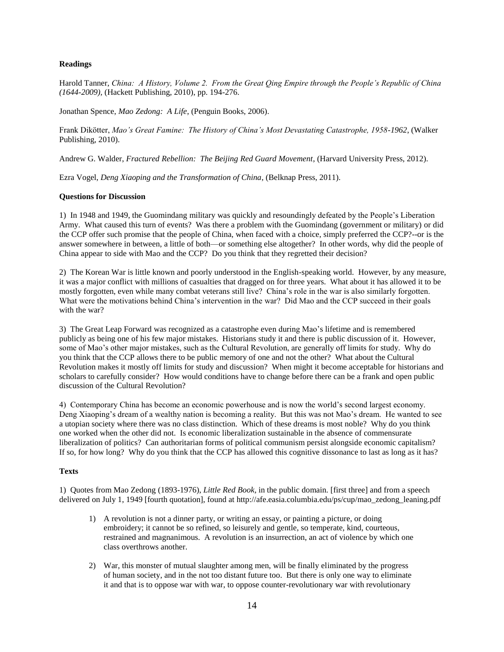# **Readings**

Harold Tanner, *China: A History, Volume 2. From the Great Qing Empire through the People's Republic of China (1644-2009),* (Hackett Publishing, 2010), pp. 194-276.

Jonathan Spence, *Mao Zedong: A Life*, (Penguin Books, 2006).

Frank Dikötter, *Mao's Great Famine: The History of China's Most Devastating Catastrophe, 1958-1962*, (Walker Publishing, 2010).

Andrew G. Walder, *Fractured Rebellion: The Beijing Red Guard Movement*, (Harvard University Press, 2012).

Ezra Vogel, *Deng Xiaoping and the Transformation of China*, (Belknap Press, 2011).

## **Questions for Discussion**

1) In 1948 and 1949, the Guomindang military was quickly and resoundingly defeated by the People's Liberation Army. What caused this turn of events? Was there a problem with the Guomindang (government or military) or did the CCP offer such promise that the people of China, when faced with a choice, simply preferred the CCP?--or is the answer somewhere in between, a little of both—or something else altogether? In other words, why did the people of China appear to side with Mao and the CCP? Do you think that they regretted their decision?

2) The Korean War is little known and poorly understood in the English-speaking world. However, by any measure, it was a major conflict with millions of casualties that dragged on for three years. What about it has allowed it to be mostly forgotten, even while many combat veterans still live? China's role in the war is also similarly forgotten. What were the motivations behind China's intervention in the war? Did Mao and the CCP succeed in their goals with the war?

3) The Great Leap Forward was recognized as a catastrophe even during Mao's lifetime and is remembered publicly as being one of his few major mistakes. Historians study it and there is public discussion of it. However, some of Mao's other major mistakes, such as the Cultural Revolution, are generally off limits for study. Why do you think that the CCP allows there to be public memory of one and not the other? What about the Cultural Revolution makes it mostly off limits for study and discussion? When might it become acceptable for historians and scholars to carefully consider? How would conditions have to change before there can be a frank and open public discussion of the Cultural Revolution?

4) Contemporary China has become an economic powerhouse and is now the world's second largest economy. Deng Xiaoping's dream of a wealthy nation is becoming a reality. But this was not Mao's dream. He wanted to see a utopian society where there was no class distinction. Which of these dreams is most noble? Why do you think one worked when the other did not. Is economic liberalization sustainable in the absence of commensurate liberalization of politics? Can authoritarian forms of political communism persist alongside economic capitalism? If so, for how long? Why do you think that the CCP has allowed this cognitive dissonance to last as long as it has?

#### **Texts**

1) Quotes from Mao Zedong (1893-1976), *Little Red Book,* in the public domain. [first three] and from a speech delivered on July 1, 1949 [fourth quotation], found at http://afe.easia.columbia.edu/ps/cup/mao\_zedong\_leaning.pdf

- 1) A revolution is not a dinner party, or writing an essay, or painting a picture, or doing embroidery; it cannot be so refined, so leisurely and gentle, so temperate, kind, courteous, restrained and magnanimous. A revolution is an insurrection, an act of violence by which one class overthrows another.
- 2) War, this monster of mutual slaughter among men, will be finally eliminated by the progress of human society, and in the not too distant future too. But there is only one way to eliminate it and that is to oppose war with war, to oppose counter-revolutionary war with revolutionary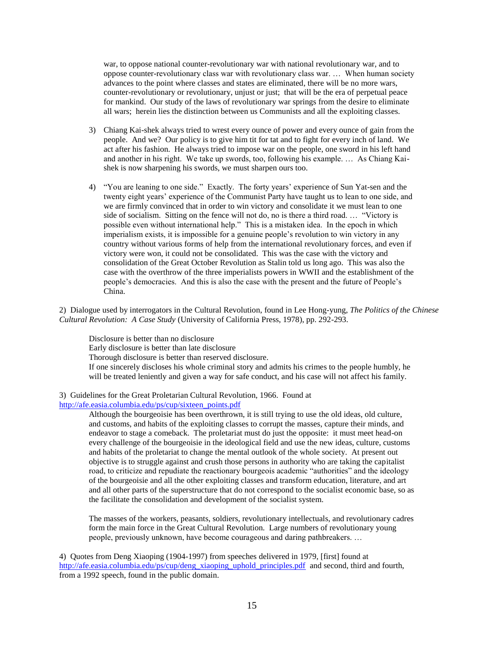war, to oppose national counter-revolutionary war with national revolutionary war, and to oppose counter-revolutionary class war with revolutionary class war. … When human society advances to the point where classes and states are eliminated, there will be no more wars, counter-revolutionary or revolutionary, unjust or just; that will be the era of perpetual peace for mankind. Our study of the laws of revolutionary war springs from the desire to eliminate all wars; herein lies the distinction between us Communists and all the exploiting classes.

- 3) Chiang Kai-shek always tried to wrest every ounce of power and every ounce of gain from the people. And we? Our policy is to give him tit for tat and to fight for every inch of land. We act after his fashion. He always tried to impose war on the people, one sword in his left hand and another in his right. We take up swords, too, following his example. … As Chiang Kaishek is now sharpening his swords, we must sharpen ours too.
- 4) "You are leaning to one side." Exactly. The forty years' experience of Sun Yat-sen and the twenty eight years' experience of the Communist Party have taught us to lean to one side, and we are firmly convinced that in order to win victory and consolidate it we must lean to one side of socialism. Sitting on the fence will not do, no is there a third road. … "Victory is possible even without international help." This is a mistaken idea. In the epoch in which imperialism exists, it is impossible for a genuine people's revolution to win victory in any country without various forms of help from the international revolutionary forces, and even if victory were won, it could not be consolidated. This was the case with the victory and consolidation of the Great October Revolution as Stalin told us long ago. This was also the case with the overthrow of the three imperialists powers in WWII and the establishment of the people's democracies. And this is also the case with the present and the future of People's China.

2) Dialogue used by interrogators in the Cultural Revolution, found in Lee Hong-yung, *The Politics of the Chinese Cultural Revolution: A Case Study* (University of California Press, 1978), pp. 292-293.

Disclosure is better than no disclosure Early disclosure is better than late disclosure Thorough disclosure is better than reserved disclosure. If one sincerely discloses his whole criminal story and admits his crimes to the people humbly, he will be treated leniently and given a way for safe conduct, and his case will not affect his family.

# 3) Guidelines for the Great Proletarian Cultural Revolution, 1966. Found at

# [http://afe.easia.columbia.edu/ps/cup/sixteen\\_points.pdf](http://afe.easia.columbia.edu/ps/cup/sixteen_points.pdf)

Although the bourgeoisie has been overthrown, it is still trying to use the old ideas, old culture, and customs, and habits of the exploiting classes to corrupt the masses, capture their minds, and endeavor to stage a comeback. The proletariat must do just the opposite: it must meet head-on every challenge of the bourgeoisie in the ideological field and use the new ideas, culture, customs and habits of the proletariat to change the mental outlook of the whole society. At present out objective is to struggle against and crush those persons in authority who are taking the capitalist road, to criticize and repudiate the reactionary bourgeois academic "authorities" and the ideology of the bourgeoisie and all the other exploiting classes and transform education, literature, and art and all other parts of the superstructure that do not correspond to the socialist economic base, so as the facilitate the consolidation and development of the socialist system.

The masses of the workers, peasants, soldiers, revolutionary intellectuals, and revolutionary cadres form the main force in the Great Cultural Revolution. Large numbers of revolutionary young people, previously unknown, have become courageous and daring pathbreakers. …

4) Quotes from Deng Xiaoping (1904-1997) from speeches delivered in 1979, [first] found at [http://afe.easia.columbia.edu/ps/cup/deng\\_xiaoping\\_uphold\\_principles.pdf](http://afe.easia.columbia.edu/ps/cup/deng_xiaoping_uphold_principles.pdf) and second, third and fourth, from a 1992 speech, found in the public domain.